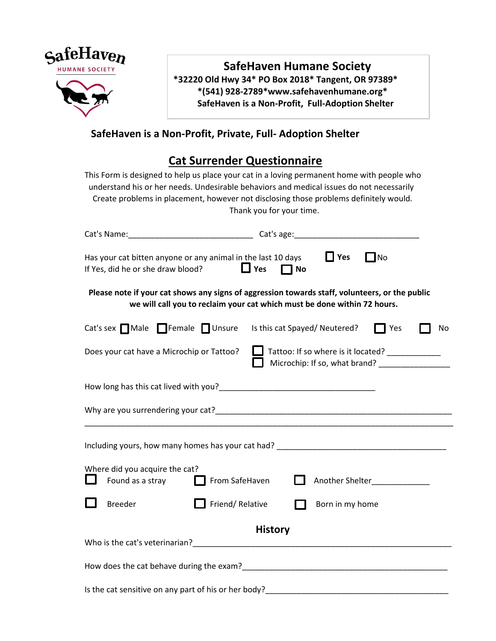

**SafeHaven Humane Society \*32220 Old Hwy 34\* PO Box 2018\* Tangent, OR 97389\* \*(541) 928-2789\*www.safehavenhumane.org\* SafeHaven is a Non-Profit, Full-Adoption Shelter**

## **SafeHaven is a Non-Profit, Private, Full- Adoption Shelter**

## **Cat Surrender Questionnaire**

This Form is designed to help us place your cat in a loving permanent home with people who understand his or her needs. Undesirable behaviors and medical issues do not necessarily Create problems in placement, however not disclosing those problems definitely would. Thank you for your time.

| Has your cat bitten anyone or any animal in the last 10 days<br>If Yes, did he or she draw blood? | $\Box$ Yes<br>$\Box$ No<br>$\Box$ Yes<br>$\prod$ No                                                                                                                        |  |  |  |
|---------------------------------------------------------------------------------------------------|----------------------------------------------------------------------------------------------------------------------------------------------------------------------------|--|--|--|
|                                                                                                   | Please note if your cat shows any signs of aggression towards staff, volunteers, or the public<br>we will call you to reclaim your cat which must be done within 72 hours. |  |  |  |
| Cat's sex $\Box$ Male $\Box$ Female $\Box$ Unsure Is this cat Spayed/ Neutered?                   | <b>T</b> Yes<br>No                                                                                                                                                         |  |  |  |
| Does your cat have a Microchip or Tattoo?                                                         | Tattoo: If so where is it located? ____________<br>Microchip: If so, what brand? ___________________                                                                       |  |  |  |
|                                                                                                   |                                                                                                                                                                            |  |  |  |
|                                                                                                   |                                                                                                                                                                            |  |  |  |
|                                                                                                   |                                                                                                                                                                            |  |  |  |
| Where did you acquire the cat?<br>Found as a stray<br>From SafeHaven                              | Another Shelter______________                                                                                                                                              |  |  |  |
| Friend/Relative<br><b>Breeder</b>                                                                 | Born in my home                                                                                                                                                            |  |  |  |
| <b>History</b>                                                                                    |                                                                                                                                                                            |  |  |  |
|                                                                                                   |                                                                                                                                                                            |  |  |  |
|                                                                                                   |                                                                                                                                                                            |  |  |  |
| Is the cat sensitive on any part of his or her body?____________________________                  |                                                                                                                                                                            |  |  |  |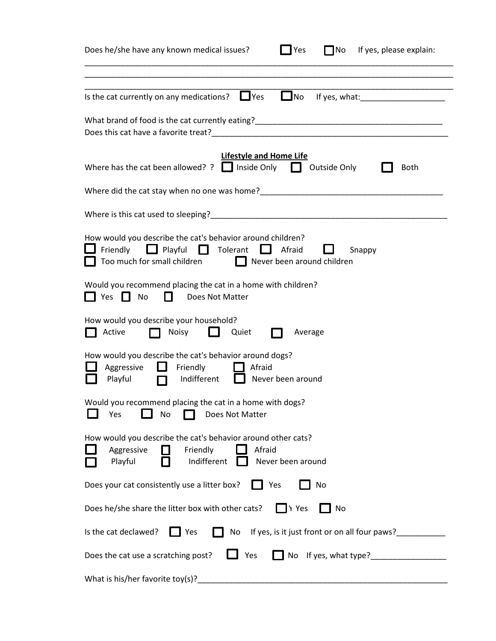| Does he/she have any known medical issues?<br>$\Box$ No<br>If yes, please explain:<br>$\blacksquare$ Yes                                                                                                                                                                                           |
|----------------------------------------------------------------------------------------------------------------------------------------------------------------------------------------------------------------------------------------------------------------------------------------------------|
| $\Box$ No<br>If yes, what: The same state of the state of the state of the state of the state of the state of the state of the state of the state of the state of the state of the state of the state of the state of the state of the stat<br>Is the cat currently on any medications? $\Box$ Yes |
|                                                                                                                                                                                                                                                                                                    |
| <b>Lifestyle and Home Life</b><br>Where has the cat been allowed? ?<br>Inside Only <b>Q</b> Outside Only<br><b>Both</b>                                                                                                                                                                            |
|                                                                                                                                                                                                                                                                                                    |
|                                                                                                                                                                                                                                                                                                    |
| How would you describe the cat's behavior around children?<br>Friendly<br>Playful Tolerant Afraid<br>Snappy<br>Too much for small children <b>Dumber 10</b> Never been around children                                                                                                             |
| Would you recommend placing the cat in a home with children?<br>Yes $\Box$<br>No<br>Does Not Matter<br>l 1                                                                                                                                                                                         |
| How would you describe your household?<br>Active<br>m.<br>Noisy<br>$\Box$<br>Quiet<br>' '<br>Average                                                                                                                                                                                               |
| How would you describe the cat's behavior around dogs?<br>Aggressive   Friendly<br>Afraid<br>Indifferent<br>Playful<br>Never been around                                                                                                                                                           |
| Would you recommend placing the cat in a home with dogs?<br>Does Not Matter<br>Yes<br>No                                                                                                                                                                                                           |
| How would you describe the cat's behavior around other cats?<br>Afraid<br>Aggressive<br>Friendly<br>Indifferent $\Box$<br>Playful<br>Never been around                                                                                                                                             |
| Does your cat consistently use a litter box?<br>Yes<br>No                                                                                                                                                                                                                                          |
| Does he/she share the litter box with other cats?<br>$\Box$ Yes<br>No                                                                                                                                                                                                                              |
| Is the cat declawed?<br>No If yes, is it just front or on all four paws?<br>$\Box$ Yes                                                                                                                                                                                                             |
| Does the cat use a scratching post? $\Box$ Yes<br>No If yes, what type?<br>1992 - The Monte Lines, what type?<br>1992 - The Monte Lines, what type?<br>1994 - The Monte Lines, what type?<br>1994 - The Monte Lines, what type?                                                                    |
|                                                                                                                                                                                                                                                                                                    |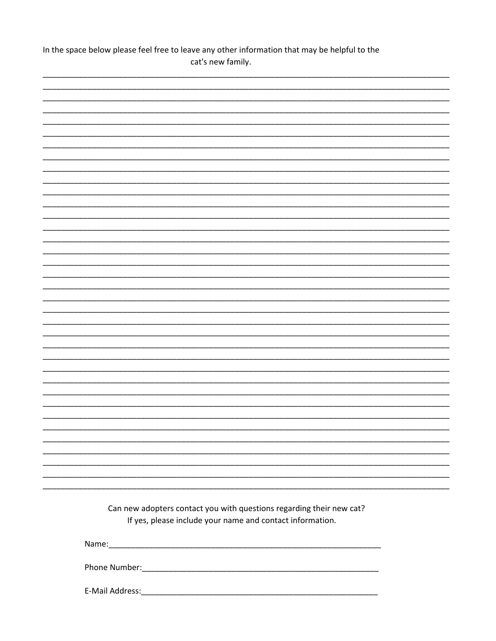| the control of the control of the control of the control of the control of the control of the control of the control of the control of the control of the control of the control of the control of the control of the control |  |
|-------------------------------------------------------------------------------------------------------------------------------------------------------------------------------------------------------------------------------|--|
| the control of the control of the control of the control of the control of the control of the control of the control of the control of the control of the control of the control of the control of the control of the control |  |
|                                                                                                                                                                                                                               |  |
|                                                                                                                                                                                                                               |  |
|                                                                                                                                                                                                                               |  |
| Can new adopters contact you with questions regarding their new cat?<br>If yes, please include your name and contact information.                                                                                             |  |
|                                                                                                                                                                                                                               |  |
|                                                                                                                                                                                                                               |  |
| E-Mail Address:                                                                                                                                                                                                               |  |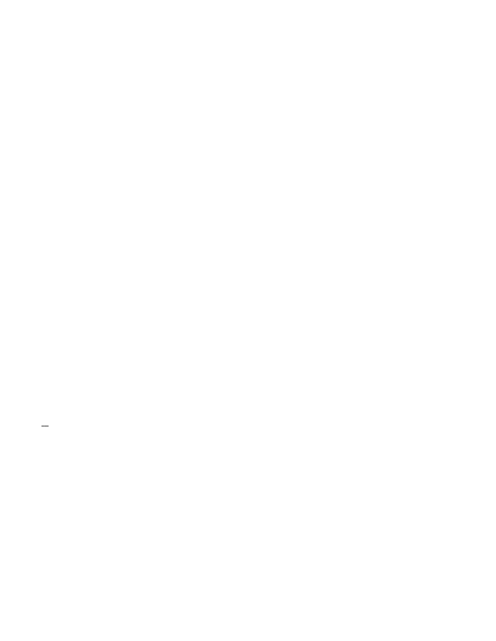$\mathcal{L}=\mathcal{L}$